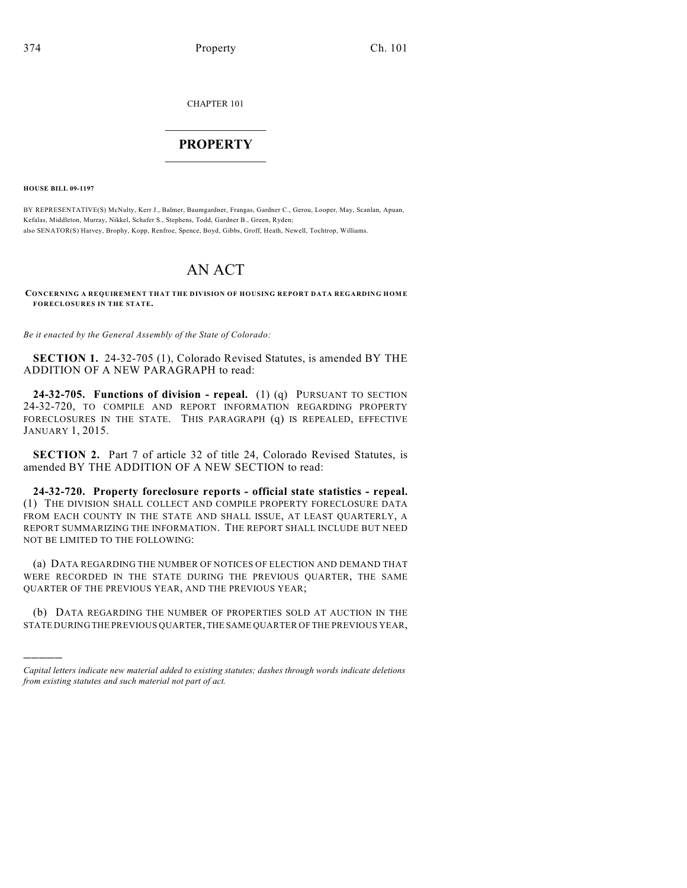CHAPTER 101

## $\overline{\phantom{a}}$  . The set of the set of the set of the set of the set of the set of the set of the set of the set of the set of the set of the set of the set of the set of the set of the set of the set of the set of the set o **PROPERTY**  $\_$   $\_$   $\_$   $\_$   $\_$   $\_$   $\_$   $\_$   $\_$

**HOUSE BILL 09-1197**

)))))

BY REPRESENTATIVE(S) McNulty, Kerr J., Balmer, Baumgardner, Frangas, Gardner C., Gerou, Looper, May, Scanlan, Apuan, Kefalas, Middleton, Murray, Nikkel, Schafer S., Stephens, Todd, Gardner B., Green, Ryden; also SENATOR(S) Harvey, Brophy, Kopp, Renfroe, Spence, Boyd, Gibbs, Groff, Heath, Newell, Tochtrop, Williams.

## AN ACT

**CONCERNING A REQUIREM ENT THAT THE DIVISION OF HOUSING REPORT DATA REGARDING HOM E FORECLOSURES IN THE STATE.**

*Be it enacted by the General Assembly of the State of Colorado:*

**SECTION 1.** 24-32-705 (1), Colorado Revised Statutes, is amended BY THE ADDITION OF A NEW PARAGRAPH to read:

**24-32-705. Functions of division - repeal.** (1) (q) PURSUANT TO SECTION 24-32-720, TO COMPILE AND REPORT INFORMATION REGARDING PROPERTY FORECLOSURES IN THE STATE. THIS PARAGRAPH (q) IS REPEALED, EFFECTIVE JANUARY 1, 2015.

**SECTION 2.** Part 7 of article 32 of title 24, Colorado Revised Statutes, is amended BY THE ADDITION OF A NEW SECTION to read:

**24-32-720. Property foreclosure reports - official state statistics - repeal.** (1) THE DIVISION SHALL COLLECT AND COMPILE PROPERTY FORECLOSURE DATA FROM EACH COUNTY IN THE STATE AND SHALL ISSUE, AT LEAST QUARTERLY, A REPORT SUMMARIZING THE INFORMATION. THE REPORT SHALL INCLUDE BUT NEED NOT BE LIMITED TO THE FOLLOWING:

(a) DATA REGARDING THE NUMBER OF NOTICES OF ELECTION AND DEMAND THAT WERE RECORDED IN THE STATE DURING THE PREVIOUS QUARTER, THE SAME QUARTER OF THE PREVIOUS YEAR, AND THE PREVIOUS YEAR;

(b) DATA REGARDING THE NUMBER OF PROPERTIES SOLD AT AUCTION IN THE STATE DURING THE PREVIOUS QUARTER, THE SAME QUARTER OF THE PREVIOUS YEAR,

*Capital letters indicate new material added to existing statutes; dashes through words indicate deletions from existing statutes and such material not part of act.*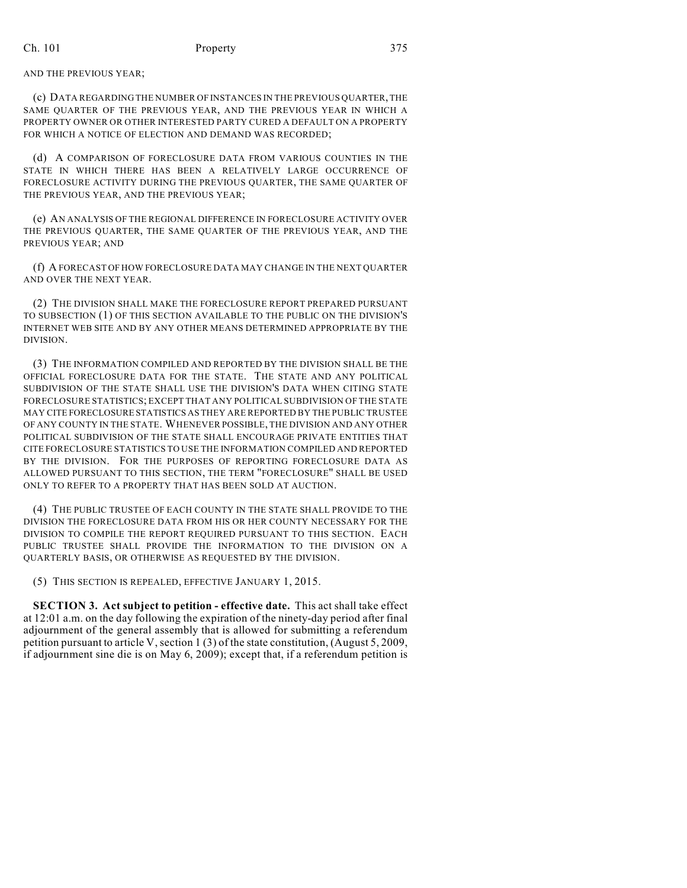AND THE PREVIOUS YEAR;

(c) DATA REGARDING THE NUMBER OF INSTANCES IN THE PREVIOUS QUARTER, THE SAME QUARTER OF THE PREVIOUS YEAR, AND THE PREVIOUS YEAR IN WHICH A PROPERTY OWNER OR OTHER INTERESTED PARTY CURED A DEFAULT ON A PROPERTY FOR WHICH A NOTICE OF ELECTION AND DEMAND WAS RECORDED;

(d) A COMPARISON OF FORECLOSURE DATA FROM VARIOUS COUNTIES IN THE STATE IN WHICH THERE HAS BEEN A RELATIVELY LARGE OCCURRENCE OF FORECLOSURE ACTIVITY DURING THE PREVIOUS QUARTER, THE SAME QUARTER OF THE PREVIOUS YEAR, AND THE PREVIOUS YEAR;

(e) AN ANALYSIS OF THE REGIONAL DIFFERENCE IN FORECLOSURE ACTIVITY OVER THE PREVIOUS QUARTER, THE SAME QUARTER OF THE PREVIOUS YEAR, AND THE PREVIOUS YEAR; AND

(f) A FORECAST OF HOW FORECLOSURE DATA MAY CHANGE IN THE NEXT QUARTER AND OVER THE NEXT YEAR.

(2) THE DIVISION SHALL MAKE THE FORECLOSURE REPORT PREPARED PURSUANT TO SUBSECTION (1) OF THIS SECTION AVAILABLE TO THE PUBLIC ON THE DIVISION'S INTERNET WEB SITE AND BY ANY OTHER MEANS DETERMINED APPROPRIATE BY THE DIVISION.

(3) THE INFORMATION COMPILED AND REPORTED BY THE DIVISION SHALL BE THE OFFICIAL FORECLOSURE DATA FOR THE STATE. THE STATE AND ANY POLITICAL SUBDIVISION OF THE STATE SHALL USE THE DIVISION'S DATA WHEN CITING STATE FORECLOSURE STATISTICS; EXCEPT THAT ANY POLITICAL SUBDIVISION OF THE STATE MAY CITE FORECLOSURE STATISTICS AS THEY ARE REPORTED BY THE PUBLIC TRUSTEE OF ANY COUNTY IN THE STATE. WHENEVER POSSIBLE, THE DIVISION AND ANY OTHER POLITICAL SUBDIVISION OF THE STATE SHALL ENCOURAGE PRIVATE ENTITIES THAT CITE FORECLOSURE STATISTICS TO USE THE INFORMATION COMPILED AND REPORTED BY THE DIVISION. FOR THE PURPOSES OF REPORTING FORECLOSURE DATA AS ALLOWED PURSUANT TO THIS SECTION, THE TERM "FORECLOSURE" SHALL BE USED ONLY TO REFER TO A PROPERTY THAT HAS BEEN SOLD AT AUCTION.

(4) THE PUBLIC TRUSTEE OF EACH COUNTY IN THE STATE SHALL PROVIDE TO THE DIVISION THE FORECLOSURE DATA FROM HIS OR HER COUNTY NECESSARY FOR THE DIVISION TO COMPILE THE REPORT REQUIRED PURSUANT TO THIS SECTION. EACH PUBLIC TRUSTEE SHALL PROVIDE THE INFORMATION TO THE DIVISION ON A QUARTERLY BASIS, OR OTHERWISE AS REQUESTED BY THE DIVISION.

(5) THIS SECTION IS REPEALED, EFFECTIVE JANUARY 1, 2015.

**SECTION 3. Act subject to petition - effective date.** This act shall take effect at 12:01 a.m. on the day following the expiration of the ninety-day period after final adjournment of the general assembly that is allowed for submitting a referendum petition pursuant to article V, section 1 (3) of the state constitution, (August 5, 2009, if adjournment sine die is on May 6, 2009); except that, if a referendum petition is